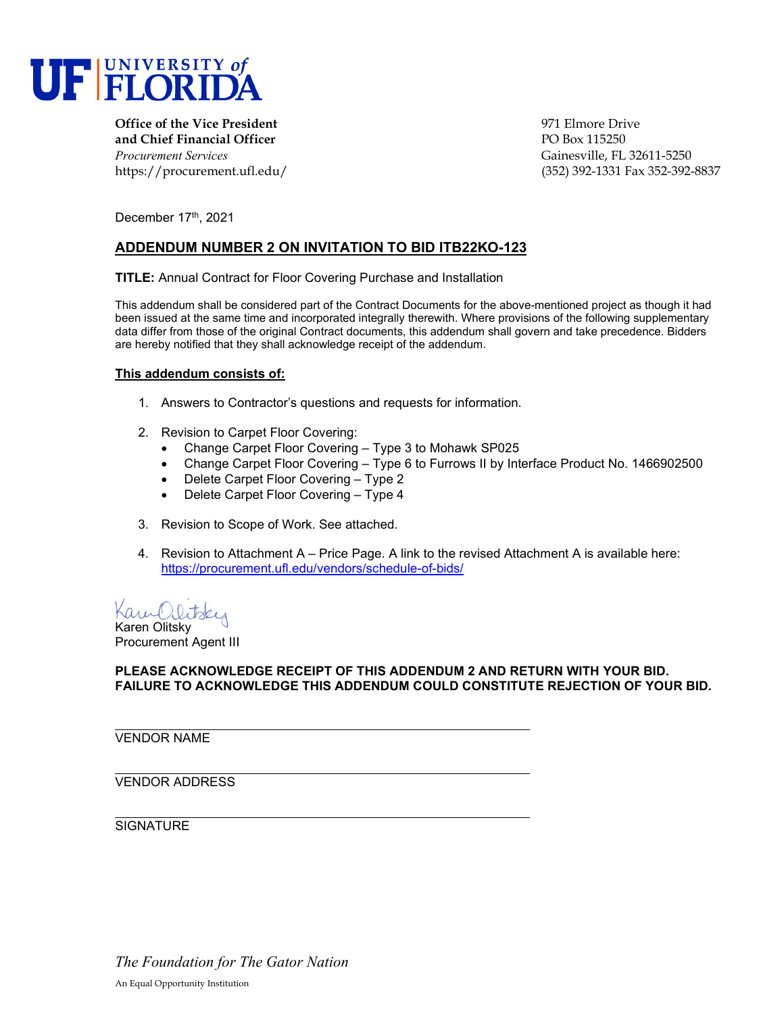

**Office of the Vice President** entertainment of the Vice President entertainment of the Vice Prive **and Chief Financial Officer** PO Box 115250 *Procurement Services* Gainesville, FL 32611-5250

https://procurement.ufl.edu/ (352) 392-1331 Fax 352-392-8837

December 17th, 2021

## **ADDENDUM NUMBER 2 ON INVITATION TO BID ITB22KO-123**

**TITLE:** Annual Contract for Floor Covering Purchase and Installation

This addendum shall be considered part of the Contract Documents for the above-mentioned project as though it had been issued at the same time and incorporated integrally therewith. Where provisions of the following supplementary data differ from those of the original Contract documents, this addendum shall govern and take precedence. Bidders are hereby notified that they shall acknowledge receipt of the addendum.

#### **This addendum consists of:**

- 1. Answers to Contractor's questions and requests for information.
- 2. Revision to Carpet Floor Covering:
	- Change Carpet Floor Covering Type 3 to Mohawk SP025
	- Change Carpet Floor Covering Type 6 to Furrows II by Interface Product No. 1466902500
	- Delete Carpet Floor Covering Type 2
	- Delete Carpet Floor Covering Type 4
- 3. Revision to Scope of Work. See attached.
- 4. Revision to Attachment A Price Page. A link to the revised Attachment A is available here: <https://procurement.ufl.edu/vendors/schedule-of-bids/>

Kam Olitsey Karen Olitsky

Procurement Agent III

## **PLEASE ACKNOWLEDGE RECEIPT OF THIS ADDENDUM 2 AND RETURN WITH YOUR BID. FAILURE TO ACKNOWLEDGE THIS ADDENDUM COULD CONSTITUTE REJECTION OF YOUR BID.**

VENDOR NAME

VENDOR ADDRESS

**SIGNATURE** 

*The Foundation for The Gator Nation* An Equal Opportunity Institution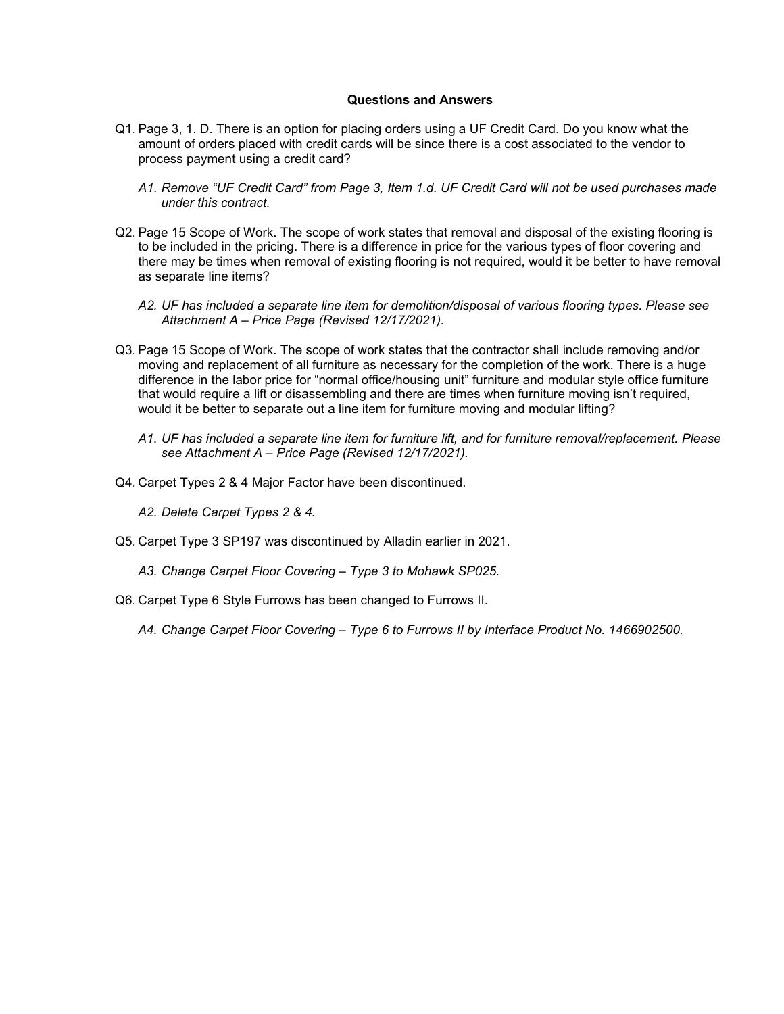#### **Questions and Answers**

- Q1. Page 3, 1. D. There is an option for placing orders using a UF Credit Card. Do you know what the amount of orders placed with credit cards will be since there is a cost associated to the vendor to process payment using a credit card?
	- *A1. Remove "UF Credit Card" from Page 3, Item 1.d. UF Credit Card will not be used purchases made under this contract.*
- Q2. Page 15 Scope of Work. The scope of work states that removal and disposal of the existing flooring is to be included in the pricing. There is a difference in price for the various types of floor covering and there may be times when removal of existing flooring is not required, would it be better to have removal as separate line items?
	- *A2. UF has included a separate line item for demolition/disposal of various flooring types. Please see Attachment A – Price Page (Revised 12/17/2021).*
- Q3. Page 15 Scope of Work. The scope of work states that the contractor shall include removing and/or moving and replacement of all furniture as necessary for the completion of the work. There is a huge difference in the labor price for "normal office/housing unit" furniture and modular style office furniture that would require a lift or disassembling and there are times when furniture moving isn't required, would it be better to separate out a line item for furniture moving and modular lifting?
	- *A1. UF has included a separate line item for furniture lift, and for furniture removal/replacement. Please see Attachment A – Price Page (Revised 12/17/2021).*
- Q4. Carpet Types 2 & 4 Major Factor have been discontinued.
	- *A2. Delete Carpet Types 2 & 4.*
- Q5. Carpet Type 3 SP197 was discontinued by Alladin earlier in 2021.
	- *A3. Change Carpet Floor Covering – Type 3 to Mohawk SP025.*
- Q6. Carpet Type 6 Style Furrows has been changed to Furrows II.

*A4. Change Carpet Floor Covering – Type 6 to Furrows II by Interface Product No. 1466902500.*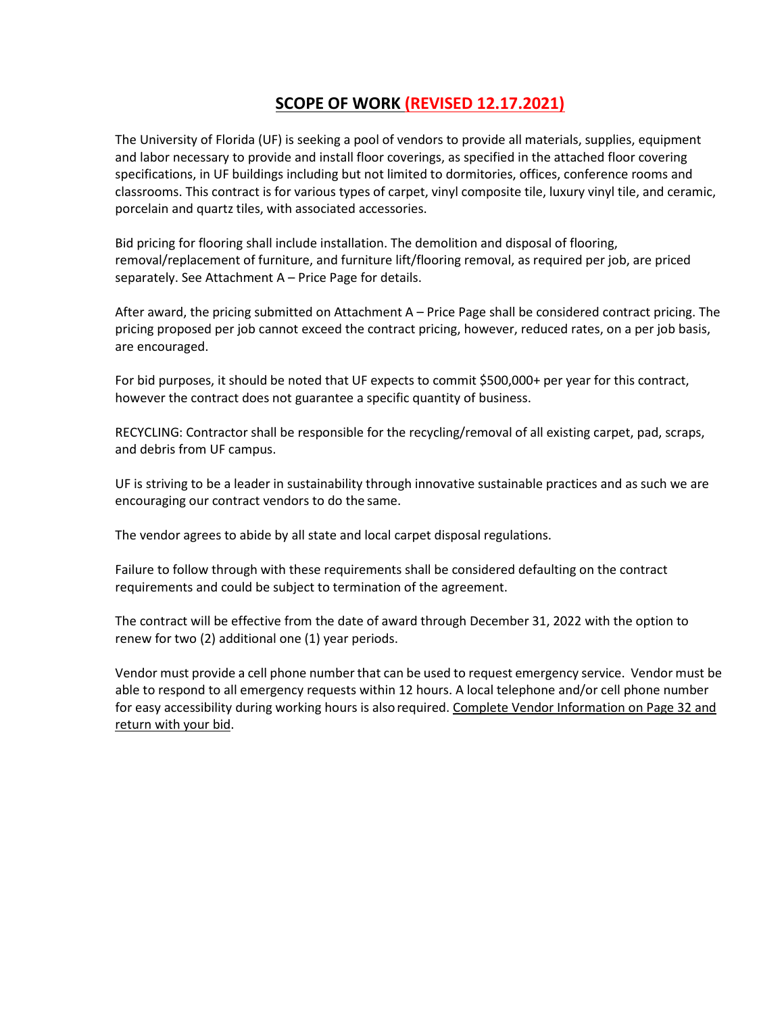# **SCOPE OF WORK (REVISED 12.17.2021)**

The University of Florida (UF) is seeking a pool of vendors to provide all materials, supplies, equipment and labor necessary to provide and install floor coverings, as specified in the attached floor covering specifications, in UF buildings including but not limited to dormitories, offices, conference rooms and classrooms. This contract is for various types of carpet, vinyl composite tile, luxury vinyl tile, and ceramic, porcelain and quartz tiles, with associated accessories.

Bid pricing for flooring shall include installation. The demolition and disposal of flooring, removal/replacement of furniture, and furniture lift/flooring removal, as required per job, are priced separately. See Attachment A – Price Page for details.

After award, the pricing submitted on Attachment A – Price Page shall be considered contract pricing. The pricing proposed per job cannot exceed the contract pricing, however, reduced rates, on a per job basis, are encouraged.

For bid purposes, it should be noted that UF expects to commit \$500,000+ per year for this contract, however the contract does not guarantee a specific quantity of business.

RECYCLING: Contractor shall be responsible for the recycling/removal of all existing carpet, pad, scraps, and debris from UF campus.

UF is striving to be a leader in sustainability through innovative sustainable practices and as such we are encouraging our contract vendors to do the same.

The vendor agrees to abide by all state and local carpet disposal regulations.

Failure to follow through with these requirements shall be considered defaulting on the contract requirements and could be subject to termination of the agreement.

The contract will be effective from the date of award through December 31, 2022 with the option to renew for two (2) additional one (1) year periods.

Vendor must provide a cell phone number that can be used to request emergency service. Vendor must be able to respond to all emergency requests within 12 hours. A local telephone and/or cell phone number for easy accessibility during working hours is alsorequired. Complete Vendor Information on Page 32 and return with your bid.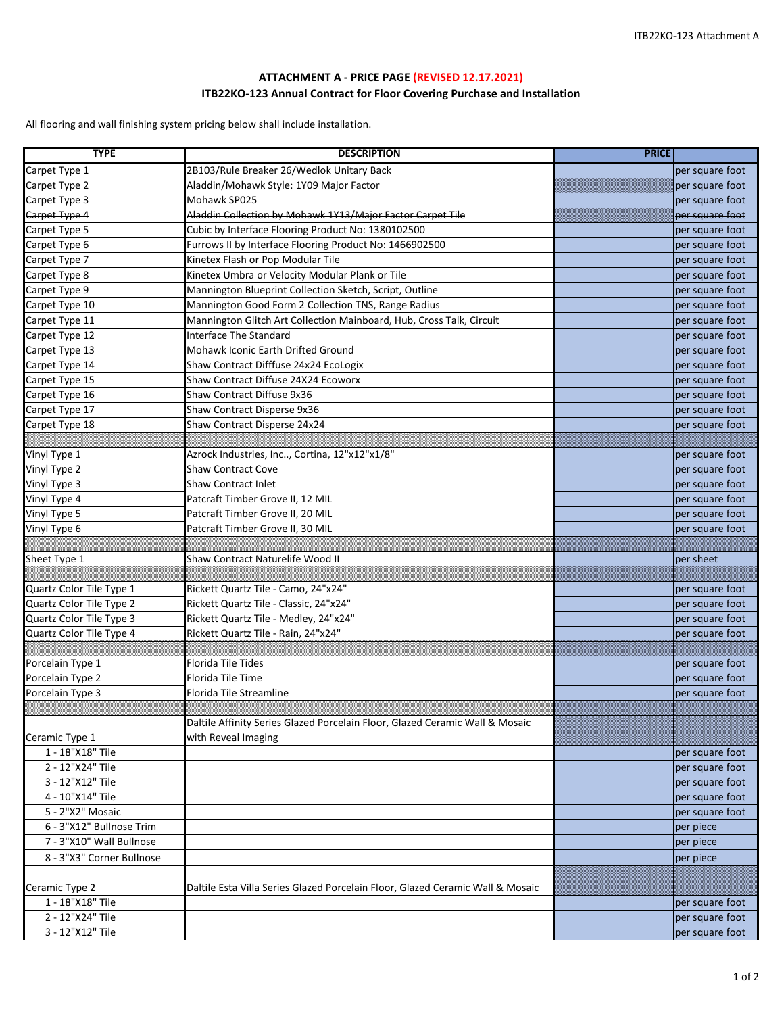### **ATTACHMENT A - PRICE PAGE (REVISED 12.17.2021) ITB22KO-123 Annual Contract for Floor Covering Purchase and Installation**

All flooring and wall finishing system pricing below shall include installation.

| <b>TYPE</b>               | <b>DESCRIPTION</b>                                                             | <b>PRICE</b>    |
|---------------------------|--------------------------------------------------------------------------------|-----------------|
| Carpet Type 1             | 2B103/Rule Breaker 26/Wedlok Unitary Back                                      | per square foot |
| Carpet Type 2             | Aladdin/Mohawk Style: 1Y09 Major Factor                                        | per square foot |
| Carpet Type 3             | Mohawk SP025                                                                   | per square foot |
| Carpet Type 4             | Aladdin Collection by Mohawk 1Y13/Major Factor Carpet Tile                     | per square foot |
| Carpet Type 5             | Cubic by Interface Flooring Product No: 1380102500                             | per square foot |
| Carpet Type 6             | Furrows II by Interface Flooring Product No: 1466902500                        | per square foot |
| Carpet Type 7             | Kinetex Flash or Pop Modular Tile                                              | per square foot |
| Carpet Type 8             | Kinetex Umbra or Velocity Modular Plank or Tile                                | per square foot |
| Carpet Type 9             | Mannington Blueprint Collection Sketch, Script, Outline                        | per square foot |
| Carpet Type 10            | Mannington Good Form 2 Collection TNS, Range Radius                            | per square foot |
| Carpet Type 11            | Mannington Glitch Art Collection Mainboard, Hub, Cross Talk, Circuit           | per square foot |
| Carpet Type 12            | Interface The Standard                                                         | per square foot |
| Carpet Type 13            | Mohawk Iconic Earth Drifted Ground                                             | per square foot |
| Carpet Type 14            | Shaw Contract Difffuse 24x24 EcoLogix                                          | per square foot |
| Carpet Type 15            | Shaw Contract Diffuse 24X24 Ecoworx                                            | per square foot |
| Carpet Type 16            | Shaw Contract Diffuse 9x36                                                     | per square foot |
| Carpet Type 17            | Shaw Contract Disperse 9x36                                                    | per square foot |
| Carpet Type 18            | Shaw Contract Disperse 24x24                                                   | per square foot |
|                           |                                                                                |                 |
| Vinyl Type 1              | Azrock Industries, Inc, Cortina, 12"x12"x1/8"                                  | per square foot |
| Vinyl Type 2              | <b>Shaw Contract Cove</b>                                                      | per square foot |
| Vinyl Type 3              | <b>Shaw Contract Inlet</b>                                                     | per square foot |
| Vinyl Type 4              | Patcraft Timber Grove II, 12 MIL                                               | per square foot |
| Vinyl Type 5              | Patcraft Timber Grove II, 20 MIL                                               | per square foot |
| Vinyl Type 6              | Patcraft Timber Grove II, 30 MIL                                               | per square foot |
|                           |                                                                                |                 |
| Sheet Type 1              | Shaw Contract Naturelife Wood II                                               | per sheet       |
|                           |                                                                                |                 |
| Quartz Color Tile Type 1  | Rickett Quartz Tile - Camo, 24"x24"                                            | per square foot |
| Quartz Color Tile Type 2  | Rickett Quartz Tile - Classic, 24"x24"                                         | per square foot |
| Quartz Color Tile Type 3  | Rickett Quartz Tile - Medley, 24"x24"                                          | per square foot |
| Quartz Color Tile Type 4  | Rickett Quartz Tile - Rain, 24"x24"                                            | per square foot |
|                           |                                                                                |                 |
| Porcelain Type 1          | <b>Florida Tile Tides</b>                                                      | per square foot |
| Porcelain Type 2          | Florida Tile Time                                                              | per square foot |
| Porcelain Type 3          | Florida Tile Streamline                                                        | per square foot |
|                           |                                                                                |                 |
|                           | Daltile Affinity Series Glazed Porcelain Floor, Glazed Ceramic Wall & Mosaic   |                 |
| Ceramic Type 1            | with Reveal Imaging                                                            |                 |
| 1 - 18"X18" Tile          |                                                                                | per square foot |
| 2 - 12"X24" Tile          |                                                                                | per square foot |
| 3 - 12"X12" Tile          |                                                                                | per square foot |
| 4 - 10"X14" Tile          |                                                                                | per square foot |
| 5 - 2"X2" Mosaic          |                                                                                | per square foot |
| 6 - 3"X12" Bullnose Trim  |                                                                                | per piece       |
| 7 - 3"X10" Wall Bullnose  |                                                                                | per piece       |
| 8 - 3"X3" Corner Bullnose |                                                                                | per piece       |
|                           |                                                                                |                 |
| Ceramic Type 2            | Daltile Esta Villa Series Glazed Porcelain Floor, Glazed Ceramic Wall & Mosaic |                 |
| 1 - 18"X18" Tile          |                                                                                | per square foot |
| 2 - 12"X24" Tile          |                                                                                | per square foot |
| 3 - 12"X12" Tile          |                                                                                | per square foot |
|                           |                                                                                |                 |